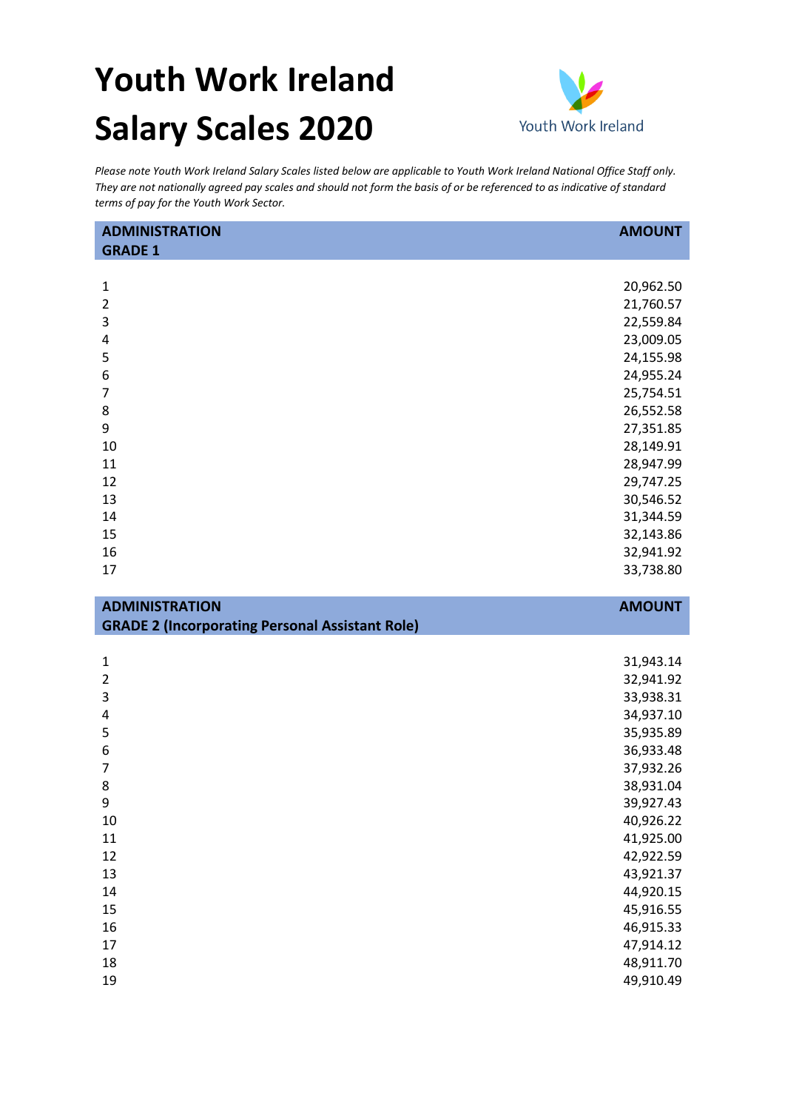## **Youth Work Ireland Salary Scales 2020**



*Please note Youth Work Ireland Salary Scales listed below are applicable to Youth Work Ireland National Office Staff only. They are not nationally agreed pay scales and should not form the basis of or be referenced to as indicative of standard terms of pay for the Youth Work Sector.* 

| <b>ADMINISTRATION</b>                                  | <b>AMOUNT</b>          |
|--------------------------------------------------------|------------------------|
| <b>GRADE 1</b>                                         |                        |
|                                                        |                        |
| $\mathbf{1}$                                           | 20,962.50              |
| $\overline{2}$                                         | 21,760.57              |
| 3                                                      | 22,559.84              |
| 4                                                      | 23,009.05              |
| 5                                                      | 24,155.98              |
| 6                                                      | 24,955.24              |
| $\overline{7}$                                         | 25,754.51              |
| 8                                                      | 26,552.58              |
| 9                                                      | 27,351.85              |
| 10                                                     | 28,149.91              |
| 11                                                     | 28,947.99              |
| 12                                                     | 29,747.25              |
| 13                                                     | 30,546.52              |
| 14                                                     | 31,344.59              |
| 15                                                     | 32,143.86              |
| 16                                                     | 32,941.92              |
| 17                                                     | 33,738.80              |
|                                                        |                        |
|                                                        |                        |
| <b>ADMINISTRATION</b>                                  | <b>AMOUNT</b>          |
| <b>GRADE 2 (Incorporating Personal Assistant Role)</b> |                        |
|                                                        |                        |
| 1                                                      | 31,943.14              |
| $\overline{2}$                                         | 32,941.92              |
| 3                                                      | 33,938.31              |
| 4                                                      | 34,937.10              |
| 5                                                      | 35,935.89              |
| 6                                                      | 36,933.48              |
| $\overline{7}$                                         | 37,932.26              |
| 8                                                      | 38,931.04              |
| 9                                                      | 39,927.43              |
| 10                                                     | 40,926.22              |
| 11                                                     | 41,925.00              |
| 12                                                     | 42,922.59              |
| 13                                                     | 43,921.37              |
| 14                                                     | 44,920.15              |
| 15<br>16                                               | 45,916.55<br>46,915.33 |

 48,911.70 49,910.49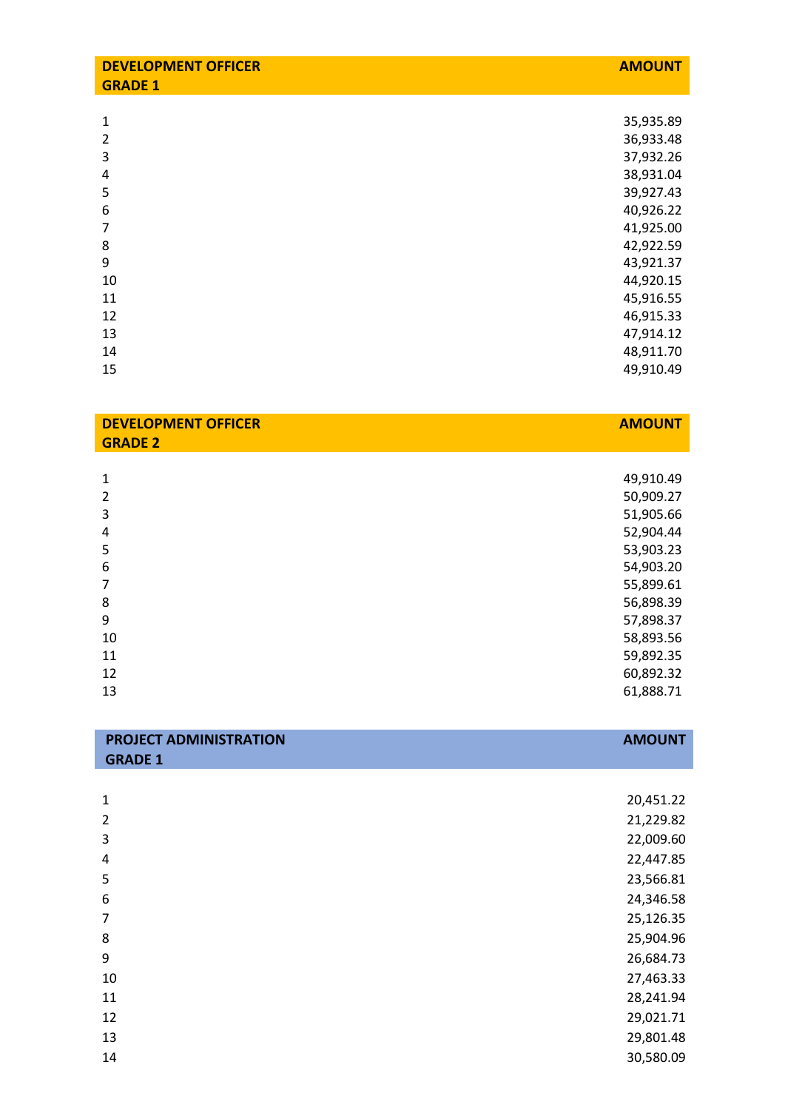| <b>DEVELOPMENT OFFICER</b><br><b>GRADE 1</b> | <b>AMOUNT</b> |
|----------------------------------------------|---------------|
|                                              |               |
| $\mathbf{1}$                                 | 35,935.89     |
| $\overline{2}$                               | 36,933.48     |
| 3                                            | 37,932.26     |
| 4                                            | 38,931.04     |
| 5                                            | 39,927.43     |
| 6                                            | 40,926.22     |
| 7                                            | 41,925.00     |
| 8                                            | 42,922.59     |
| 9                                            | 43,921.37     |
| 10                                           | 44,920.15     |
| 11                                           | 45,916.55     |
| 12                                           | 46,915.33     |
| 13                                           | 47,914.12     |
| 14                                           | 48,911.70     |
| 15                                           | 49,910.49     |
|                                              |               |
| <b>DEVELOPMENT OFFICER</b><br><b>GRADE 2</b> | <b>AMOUNT</b> |

| 1              | 49,910.49 |
|----------------|-----------|
| $\overline{2}$ | 50,909.27 |
| 3              | 51,905.66 |
| 4              | 52,904.44 |
| 5              | 53,903.23 |
| 6              | 54,903.20 |
| 7              | 55,899.61 |
| 8              | 56,898.39 |
| 9              | 57,898.37 |
| 10             | 58,893.56 |
| 11             | 59,892.35 |
| 12             | 60,892.32 |
| 13             | 61,888.71 |
|                |           |

| <b>PROJECT ADMINISTRATION</b> | <b>AMOUNT</b> |
|-------------------------------|---------------|
| <b>GRADE 1</b>                |               |
|                               |               |

| 1  | 20,451.22 |
|----|-----------|
| 2  | 21,229.82 |
| 3  | 22,009.60 |
| 4  | 22,447.85 |
| 5  | 23,566.81 |
| 6  | 24,346.58 |
| 7  | 25,126.35 |
| 8  | 25,904.96 |
| 9  | 26,684.73 |
| 10 | 27,463.33 |
| 11 | 28,241.94 |
| 12 | 29,021.71 |
| 13 | 29,801.48 |
| 14 | 30,580.09 |
|    |           |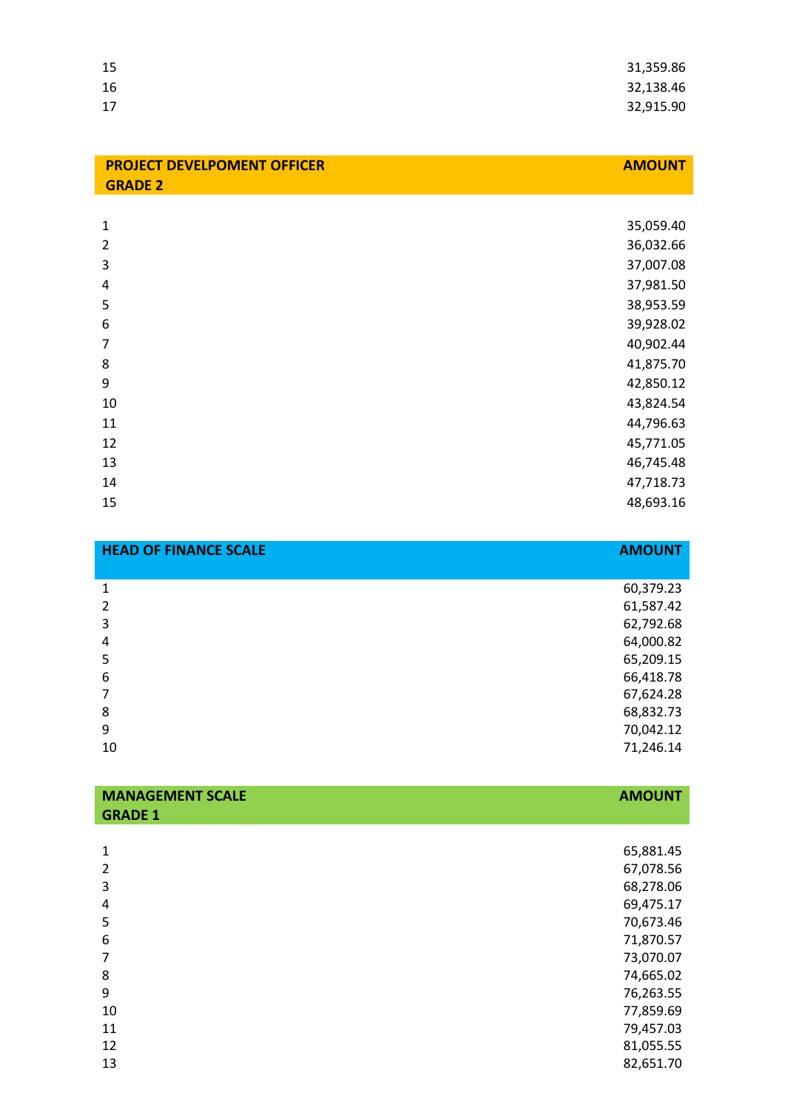| 15 | 31,359.86 |
|----|-----------|
| 16 | 32,138.46 |
| 17 | 32,915.90 |

| <b>PROJECT DEVELPOMENT OFFICER</b> | <b>AMOUNT</b> |
|------------------------------------|---------------|
| <b>GRADE 2</b>                     |               |
|                                    |               |
| 1                                  | 35,059.40     |
| 2                                  | 36,032.66     |
| 3                                  | 37,007.08     |
| 4                                  | 37,981.50     |
| 5                                  | 38,953.59     |
| 6                                  | 39,928.02     |
| 7                                  | 40,902.44     |
| 8                                  | 41,875.70     |
| 9                                  | 42,850.12     |
| 10                                 | 43,824.54     |
| 11                                 | 44,796.63     |
| 12                                 | 45,771.05     |
| 13                                 | 46,745.48     |
| 14                                 | 47,718.73     |
| 15                                 | 48,693.16     |

| <b>HEAD OF FINANCE SCALE</b> | <b>AMOUNT</b> |
|------------------------------|---------------|
|                              |               |
| 1                            | 60,379.23     |
| $\mathcal{P}$                | 61,587.42     |
| 3                            | 62,792.68     |
| 4                            | 64,000.82     |
| 5                            | 65,209.15     |
| 6                            | 66,418.78     |
|                              | 67,624.28     |
| 8                            | 68,832.73     |
| 9                            | 70,042.12     |
| 10                           | 71,246.14     |

**AMOUNT**

| <b>GRADE 1</b> |           |
|----------------|-----------|
|                |           |
| 1              | 65,881.45 |
| 2              | 67,078.56 |
| 3              | 68,278.06 |
| 4              | 69,475.17 |
| 5              | 70,673.46 |
| 6              | 71,870.57 |
| 7              | 73,070.07 |
| 8              | 74,665.02 |
| 9              | 76,263.55 |
| 10             | 77,859.69 |
| 11             | 79,457.03 |
| 12             | 81,055.55 |
| 13             | 82,651.70 |
|                |           |

**MANAGEMENT SCALE**